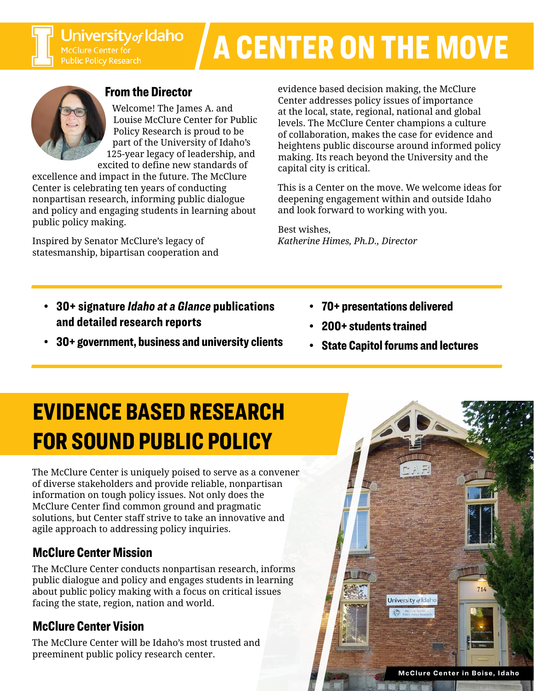# A CENTER ON THE MOVE



### From the Director

Welcome! The James A. and Louise McClure Center for Public Policy Research is proud to be part of the University of Idaho's 125-year legacy of leadership, and excited to define new standards of

excellence and impact in the future. The McClure Center is celebrating ten years of conducting nonpartisan research, informing public dialogue and policy and engaging students in learning about public policy making.

Inspired by Senator McClure's legacy of statesmanship, bipartisan cooperation and evidence based decision making, the McClure Center addresses policy issues of importance at the local, state, regional, national and global levels. The McClure Center champions a culture of collaboration, makes the case for evidence and heightens public discourse around informed policy making. Its reach beyond the University and the capital city is critical.

This is a Center on the move. We welcome ideas for deepening engagement within and outside Idaho and look forward to working with you.

Best wishes, *Katherine Himes, Ph.D., Director*

- 30+ signature *Idaho at a Glance* publications and detailed research reports
- 30+ government, business and university clients
- 70+ presentations delivered
- 200+ students trained
- State Capitol forums and lectures

# EVIDENCE BASED RESEARCH FOR SOUND PUBLIC POLICY

The McClure Center is uniquely poised to serve as a convener of diverse stakeholders and provide reliable, nonpartisan information on tough policy issues. Not only does the McClure Center find common ground and pragmatic solutions, but Center staff strive to take an innovative and agile approach to addressing policy inquiries.

## McClure Center Mission

The McClure Center conducts nonpartisan research, informs public dialogue and policy and engages students in learning about public policy making with a focus on critical issues facing the state, region, nation and world.

# McClure Center Vision

The McClure Center will be Idaho's most trusted and preeminent public policy research center.

University of Idaho